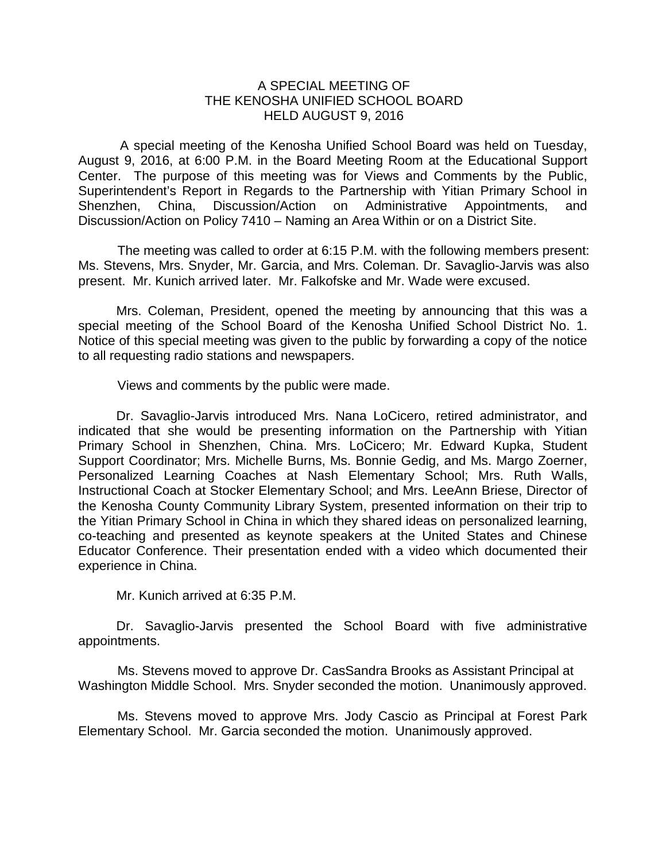## A SPECIAL MEETING OF THE KENOSHA UNIFIED SCHOOL BOARD HELD AUGUST 9, 2016

A special meeting of the Kenosha Unified School Board was held on Tuesday, August 9, 2016, at 6:00 P.M. in the Board Meeting Room at the Educational Support Center. The purpose of this meeting was for Views and Comments by the Public, Superintendent's Report in Regards to the Partnership with Yitian Primary School in Shenzhen, China, Discussion/Action on Administrative Appointments, and Discussion/Action on Policy 7410 – Naming an Area Within or on a District Site.

The meeting was called to order at 6:15 P.M. with the following members present: Ms. Stevens, Mrs. Snyder, Mr. Garcia, and Mrs. Coleman. Dr. Savaglio-Jarvis was also present. Mr. Kunich arrived later. Mr. Falkofske and Mr. Wade were excused.

Mrs. Coleman, President, opened the meeting by announcing that this was a special meeting of the School Board of the Kenosha Unified School District No. 1. Notice of this special meeting was given to the public by forwarding a copy of the notice to all requesting radio stations and newspapers.

Views and comments by the public were made.

Dr. Savaglio-Jarvis introduced Mrs. Nana LoCicero, retired administrator, and indicated that she would be presenting information on the Partnership with Yitian Primary School in Shenzhen, China. Mrs. LoCicero; Mr. Edward Kupka, Student Support Coordinator; Mrs. Michelle Burns, Ms. Bonnie Gedig, and Ms. Margo Zoerner, Personalized Learning Coaches at Nash Elementary School; Mrs. Ruth Walls, Instructional Coach at Stocker Elementary School; and Mrs. LeeAnn Briese, Director of the Kenosha County Community Library System, presented information on their trip to the Yitian Primary School in China in which they shared ideas on personalized learning, co-teaching and presented as keynote speakers at the United States and Chinese Educator Conference. Their presentation ended with a video which documented their experience in China.

Mr. Kunich arrived at 6:35 P.M.

Dr. Savaglio-Jarvis presented the School Board with five administrative appointments.

Ms. Stevens moved to approve Dr. CasSandra Brooks as Assistant Principal at Washington Middle School. Mrs. Snyder seconded the motion. Unanimously approved.

Ms. Stevens moved to approve Mrs. Jody Cascio as Principal at Forest Park Elementary School. Mr. Garcia seconded the motion. Unanimously approved.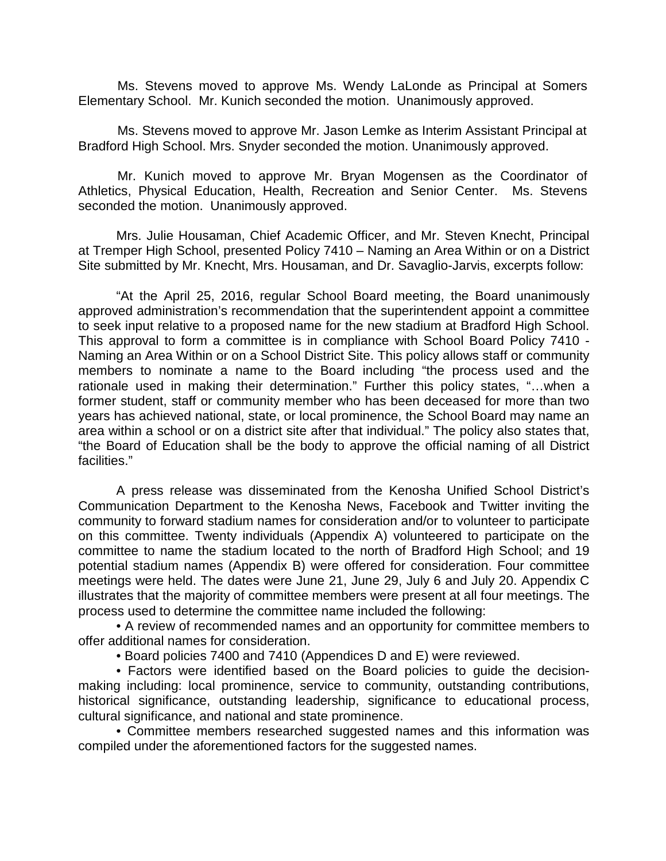Ms. Stevens moved to approve Ms. Wendy LaLonde as Principal at Somers Elementary School. Mr. Kunich seconded the motion. Unanimously approved.

Ms. Stevens moved to approve Mr. Jason Lemke as Interim Assistant Principal at Bradford High School. Mrs. Snyder seconded the motion. Unanimously approved.

Mr. Kunich moved to approve Mr. Bryan Mogensen as the Coordinator of Athletics, Physical Education, Health, Recreation and Senior Center. Ms. Stevens seconded the motion. Unanimously approved.

Mrs. Julie Housaman, Chief Academic Officer, and Mr. Steven Knecht, Principal at Tremper High School, presented Policy 7410 – Naming an Area Within or on a District Site submitted by Mr. Knecht, Mrs. Housaman, and Dr. Savaglio-Jarvis, excerpts follow:

"At the April 25, 2016, regular School Board meeting, the Board unanimously approved administration's recommendation that the superintendent appoint a committee to seek input relative to a proposed name for the new stadium at Bradford High School. This approval to form a committee is in compliance with School Board Policy 7410 - Naming an Area Within or on a School District Site. This policy allows staff or community members to nominate a name to the Board including "the process used and the rationale used in making their determination." Further this policy states, "…when a former student, staff or community member who has been deceased for more than two years has achieved national, state, or local prominence, the School Board may name an area within a school or on a district site after that individual." The policy also states that, "the Board of Education shall be the body to approve the official naming of all District facilities."

A press release was disseminated from the Kenosha Unified School District's Communication Department to the Kenosha News, Facebook and Twitter inviting the community to forward stadium names for consideration and/or to volunteer to participate on this committee. Twenty individuals (Appendix A) volunteered to participate on the committee to name the stadium located to the north of Bradford High School; and 19 potential stadium names (Appendix B) were offered for consideration. Four committee meetings were held. The dates were June 21, June 29, July 6 and July 20. Appendix C illustrates that the majority of committee members were present at all four meetings. The process used to determine the committee name included the following:

• A review of recommended names and an opportunity for committee members to offer additional names for consideration.

• Board policies 7400 and 7410 (Appendices D and E) were reviewed.

• Factors were identified based on the Board policies to guide the decisionmaking including: local prominence, service to community, outstanding contributions, historical significance, outstanding leadership, significance to educational process, cultural significance, and national and state prominence.

• Committee members researched suggested names and this information was compiled under the aforementioned factors for the suggested names.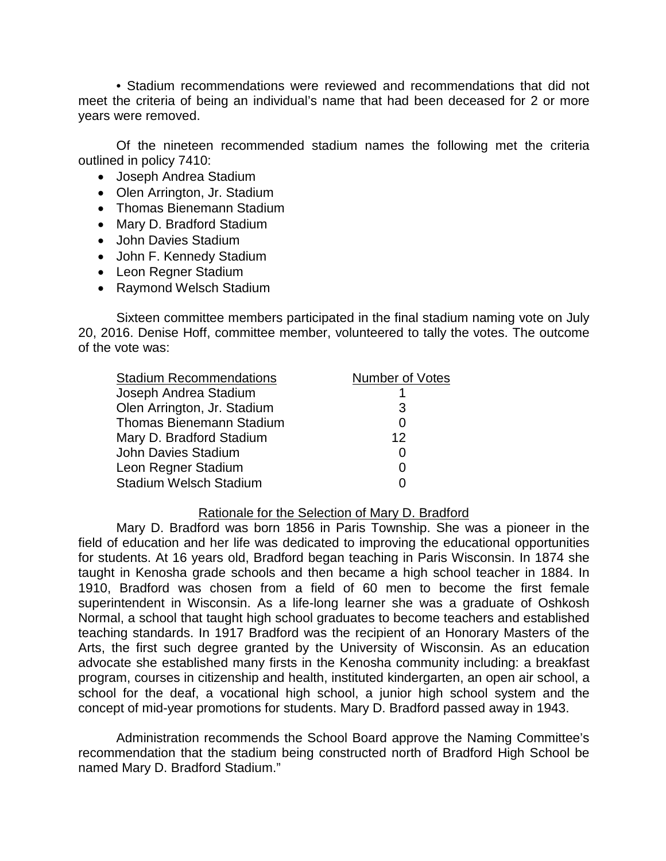• Stadium recommendations were reviewed and recommendations that did not meet the criteria of being an individual's name that had been deceased for 2 or more years were removed.

Of the nineteen recommended stadium names the following met the criteria outlined in policy 7410:

- Joseph Andrea Stadium
- Olen Arrington, Jr. Stadium
- Thomas Bienemann Stadium
- Mary D. Bradford Stadium
- John Davies Stadium
- John F. Kennedy Stadium
- Leon Regner Stadium
- Raymond Welsch Stadium

Sixteen committee members participated in the final stadium naming vote on July 20, 2016. Denise Hoff, committee member, volunteered to tally the votes. The outcome of the vote was:

| <b>Stadium Recommendations</b>  | <b>Number of Votes</b> |
|---------------------------------|------------------------|
| Joseph Andrea Stadium           |                        |
| Olen Arrington, Jr. Stadium     | 3                      |
| <b>Thomas Bienemann Stadium</b> | 0                      |
| Mary D. Bradford Stadium        | 12                     |
| John Davies Stadium             | 0                      |
| Leon Regner Stadium             | 0                      |
| <b>Stadium Welsch Stadium</b>   |                        |

## Rationale for the Selection of Mary D. Bradford

Mary D. Bradford was born 1856 in Paris Township. She was a pioneer in the field of education and her life was dedicated to improving the educational opportunities for students. At 16 years old, Bradford began teaching in Paris Wisconsin. In 1874 she taught in Kenosha grade schools and then became a high school teacher in 1884. In 1910, Bradford was chosen from a field of 60 men to become the first female superintendent in Wisconsin. As a life-long learner she was a graduate of Oshkosh Normal, a school that taught high school graduates to become teachers and established teaching standards. In 1917 Bradford was the recipient of an Honorary Masters of the Arts, the first such degree granted by the University of Wisconsin. As an education advocate she established many firsts in the Kenosha community including: a breakfast program, courses in citizenship and health, instituted kindergarten, an open air school, a school for the deaf, a vocational high school, a junior high school system and the concept of mid-year promotions for students. Mary D. Bradford passed away in 1943.

Administration recommends the School Board approve the Naming Committee's recommendation that the stadium being constructed north of Bradford High School be named Mary D. Bradford Stadium."